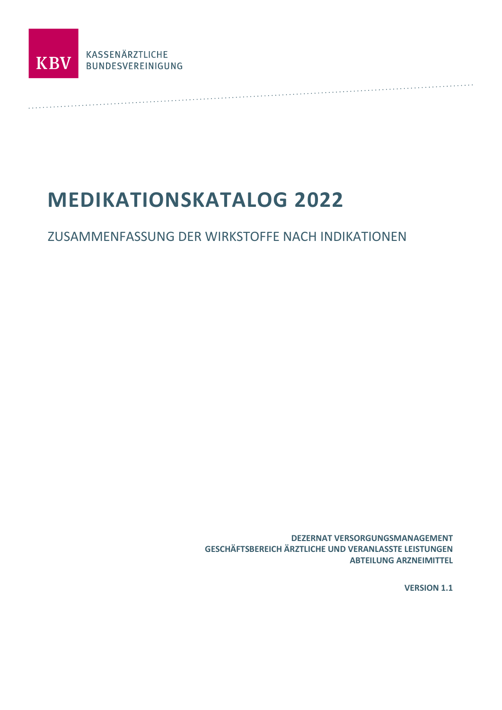

# **MEDIKATIONSKATALOG 2022**

# ZUSAMMENFASSUNG DER WIRKSTOFFE NACH INDIKATIONEN

**DEZERNAT VERSORGUNGSMANAGEMENT GESCHÄFTSBEREICH ÄRZTLICHE UND VERANLASSTE LEISTUNGEN ABTEILUNG ARZNEIMITTEL** 

**VERSION 1.1**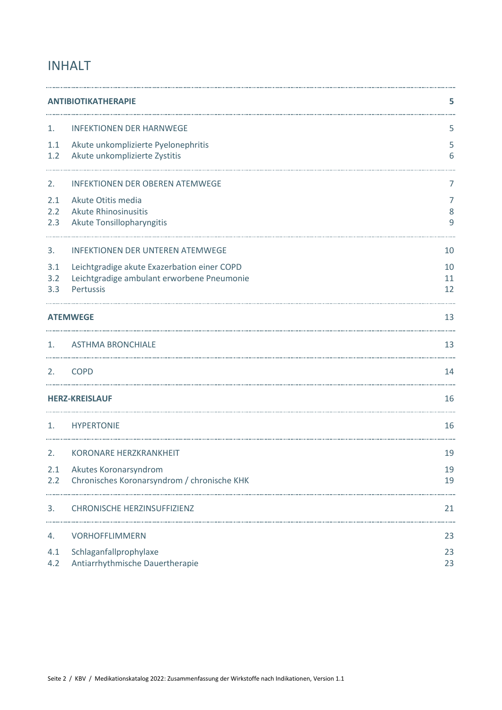# INHALT

|                       | <b>ANTIBIOTIKATHERAPIE</b>                                           |          |  |
|-----------------------|----------------------------------------------------------------------|----------|--|
| 1.                    | <b>INFEKTIONEN DER HARNWEGE</b>                                      | 5        |  |
| 1.1<br>1.2            | Akute unkomplizierte Pyelonephritis<br>Akute unkomplizierte Zystitis | 5<br>6   |  |
| 2.                    | <b>INFEKTIONEN DER OBEREN ATEMWEGE</b>                               | 7        |  |
| 2.1                   | Akute Otitis media                                                   | 7        |  |
| 2.2<br>2.3            | <b>Akute Rhinosinusitis</b><br>Akute Tonsillopharyngitis             | 8<br>9   |  |
| 3.                    | <b>INFEKTIONEN DER UNTEREN ATEMWEGE</b>                              | 10       |  |
| 3.1                   | Leichtgradige akute Exazerbation einer COPD                          | 10       |  |
| 3.2<br>3.3            | Leichtgradige ambulant erworbene Pneumonie<br>Pertussis              | 11<br>12 |  |
|                       | <b>ATEMWEGE</b>                                                      | 13       |  |
| 1.                    | <b>ASTHMA BRONCHIALE</b>                                             | 13       |  |
| 2.                    | <b>COPD</b>                                                          | 14       |  |
| <b>HERZ-KREISLAUF</b> |                                                                      | 16       |  |
| 1.                    | <b>HYPERTONIE</b>                                                    | 16       |  |
| 2.                    | <b>KORONARE HERZKRANKHEIT</b>                                        | 19       |  |
|                       | 2.1 Akutes Koronarsyndrom                                            | 19       |  |
| 2.2                   | Chronisches Koronarsyndrom / chronische KHK                          | 19       |  |
| 3.                    | <b>CHRONISCHE HERZINSUFFIZIENZ</b>                                   | 21       |  |
| 4.                    | <b>VORHOFFLIMMERN</b>                                                | 23       |  |
| 4.1                   | Schlaganfallprophylaxe                                               | 23       |  |
| 4.2                   | Antiarrhythmische Dauertherapie                                      | 23       |  |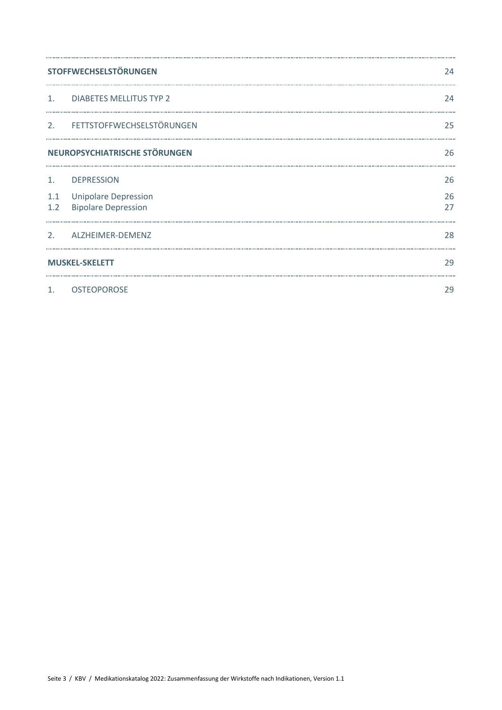|                       | <b>STOFFWECHSELSTÖRUNGEN</b>                              |          |
|-----------------------|-----------------------------------------------------------|----------|
| 1.                    | <b>DIABETES MELLITUS TYP 2</b>                            | 24       |
| 2.                    | FETTSTOFFWECHSELSTÖRUNGEN                                 | 25       |
|                       | NEUROPSYCHIATRISCHE STÖRUNGEN                             | 26       |
| 1.                    | <b>DEPRESSION</b>                                         | 26       |
| 1.1<br>1.2            | <b>Unipolare Depression</b><br><b>Bipolare Depression</b> | 26<br>27 |
| 2.                    | ALZHEIMER-DEMENZ                                          | 28       |
| <b>MUSKEL-SKELETT</b> |                                                           |          |
| $\mathbf{1}$ .        | <b>OSTEOPOROSE</b>                                        | 29       |

. . . . . . . . . . . . . .

. . . . . . . . .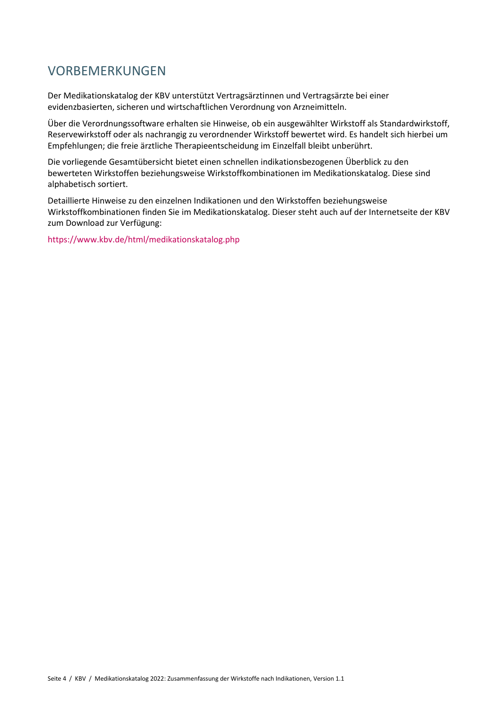# VORBEMERKUNGEN

Der Medikationskatalog der KBV unterstützt Vertragsärztinnen und Vertragsärzte bei einer evidenzbasierten, sicheren und wirtschaftlichen Verordnung von Arzneimitteln.

Über die Verordnungssoftware erhalten sie Hinweise, ob ein ausgewählter Wirkstoff als Standardwirkstoff, Reservewirkstoff oder als nachrangig zu verordnender Wirkstoff bewertet wird. Es handelt sich hierbei um Empfehlungen; die freie ärztliche Therapieentscheidung im Einzelfall bleibt unberührt.

Die vorliegende Gesamtübersicht bietet einen schnellen indikationsbezogenen Überblick zu den bewerteten Wirkstoffen beziehungsweise Wirkstoffkombinationen im Medikationskatalog. Diese sind alphabetisch sortiert.

Detaillierte Hinweise zu den einzelnen Indikationen und den Wirkstoffen beziehungsweise Wirkstoffkombinationen finden Sie im Medikationskatalog. Dieser steht auch auf der Internetseite der KBV zum Download zur Verfügung:

<https://www.kbv.de/html/medikationskatalog.php>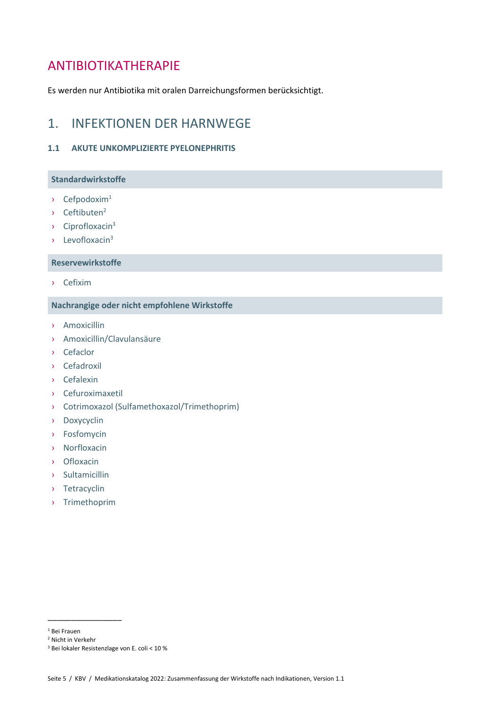# <span id="page-4-0"></span>ANTIBIOTIKATHERAPIE

Es werden nur Antibiotika mit oralen Darreichungsformen berücksichtigt.

# <span id="page-4-1"></span>1. INFEKTIONEN DER HARNWEGE

#### <span id="page-4-2"></span>**1.1 AKUTE UNKOMPLIZIERTE PYELONEPHRITIS**

# **Standardwirkstoffe**

- $\rightarrow$  Cefpodoxim<sup>1</sup>
- $\rightarrow$  Ceftibuten<sup>2</sup>
- <span id="page-4-3"></span> $\sqrt{ }$  Ciprofloxacin<sup>3</sup>
- $\lambda$  Levofloxaci[n](#page-4-3)<sup>3</sup>

#### **Reservewirkstoffe**

› Cefixim

### **Nachrangige oder nicht empfohlene Wirkstoffe**

- › Amoxicillin
- › Amoxicillin/Clavulansäure
- › Cefaclor
- › Cefadroxil
- › Cefalexin
- › Cefuroximaxetil
- › Cotrimoxazol (Sulfamethoxazol/Trimethoprim)
- › Doxycyclin
- › Fosfomycin
- › Norfloxacin
- › Ofloxacin
- › Sultamicillin
- › Tetracyclin
- › Trimethoprim

\_\_\_\_\_\_\_\_\_\_\_\_\_\_\_\_

<sup>1</sup> Bei Frauen

<sup>2</sup> Nicht in Verkehr

<sup>3</sup> Bei lokaler Resistenzlage von E. coli < 10 %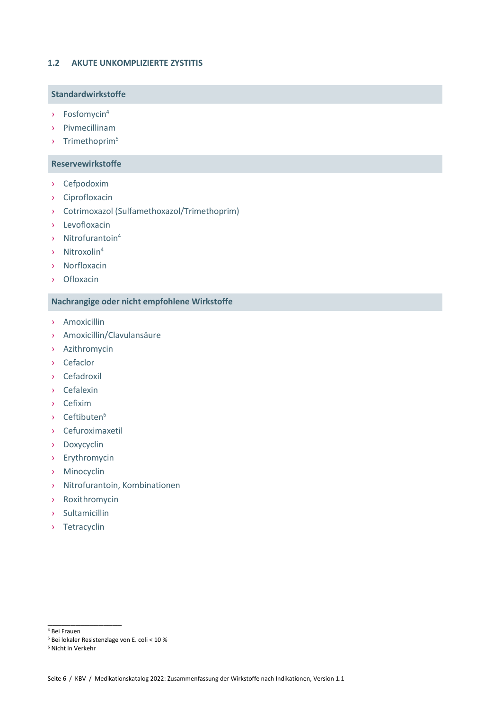#### <span id="page-5-0"></span>**1.2 AKUTE UNKOMPLIZIERTE ZYSTITIS**

### **Standardwirkstoffe**

- <span id="page-5-1"></span>› Fosfomycin<sup>4</sup>
- › Pivmecillinam
- › Trimethoprim<sup>5</sup>

#### **Reservewirkstoffe**

- › Cefpodoxim
- › Ciprofloxacin
- › Cotrimoxazol (Sulfamethoxazol/Trimethoprim)
- › Levofloxacin
- › Nitrofurantoin[4](#page-5-1)
- › Nitroxoli[n](#page-5-1)<sup>4</sup>
- › Norfloxacin
- › Ofloxacin

# **Nachrangige oder nicht empfohlene Wirkstoffe**

- › Amoxicillin
- › Amoxicillin/Clavulansäure
- › Azithromycin
- › Cefaclor
- › Cefadroxil
- › Cefalexin
- › Cefixim
- › Ceftibuten<sup>6</sup>
- › Cefuroximaxetil
- › Doxycyclin
- › Erythromycin
- › Minocyclin
- › Nitrofurantoin, Kombinationen
- › Roxithromycin
- › Sultamicillin
- › Tetracyclin

 $4$  Bei Frauen

\_\_\_\_\_\_\_\_\_\_\_\_\_\_\_\_

<sup>5</sup> Bei lokaler Resistenzlage von E. coli < 10 %

<sup>6</sup> Nicht in Verkehr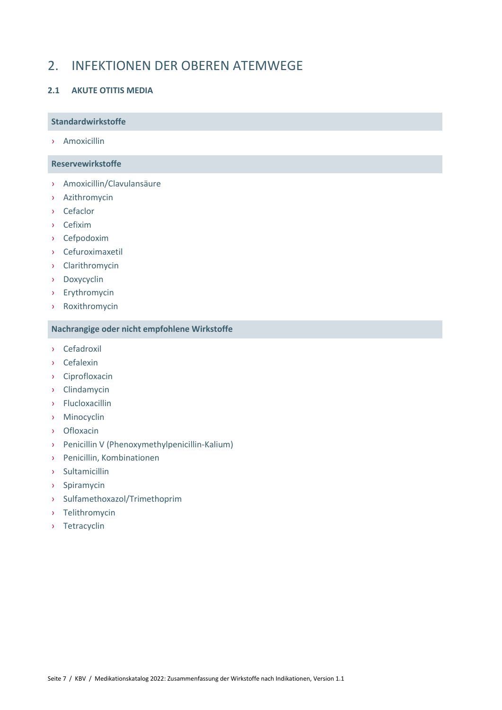# <span id="page-6-0"></span>2. INFEKTIONEN DER OBEREN ATEMWEGE

# <span id="page-6-1"></span>**2.1 AKUTE OTITIS MEDIA**

#### **Standardwirkstoffe**

› Amoxicillin

### **Reservewirkstoffe**

- › Amoxicillin/Clavulansäure
- › Azithromycin
- › Cefaclor
- › Cefixim
- › Cefpodoxim
- › Cefuroximaxetil
- › Clarithromycin
- › Doxycyclin
- › Erythromycin
- › Roxithromycin

- › Cefadroxil
- › Cefalexin
- › Ciprofloxacin
- › Clindamycin
- › Flucloxacillin
- › Minocyclin
- › Ofloxacin
- › Penicillin V (Phenoxymethylpenicillin-Kalium)
- › Penicillin, Kombinationen
- › Sultamicillin
- › Spiramycin
- › Sulfamethoxazol/Trimethoprim
- › Telithromycin
- › Tetracyclin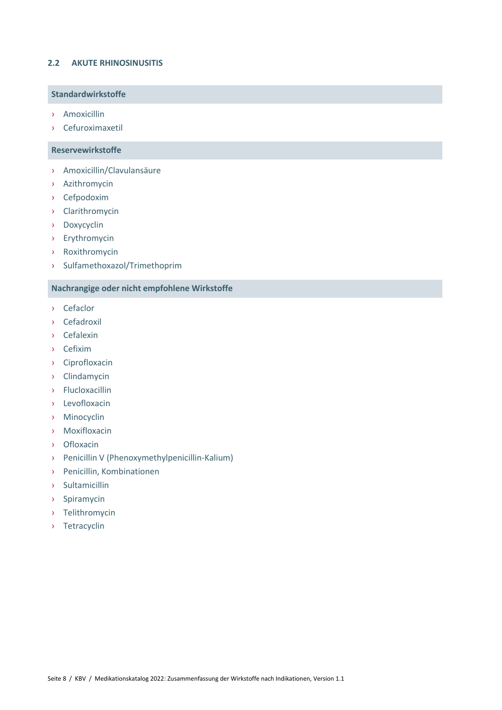### <span id="page-7-0"></span>**2.2 AKUTE RHINOSINUSITIS**

### **Standardwirkstoffe**

- › Amoxicillin
- › Cefuroximaxetil

#### **Reservewirkstoffe**

- › Amoxicillin/Clavulansäure
- › Azithromycin
- › Cefpodoxim
- › Clarithromycin
- › Doxycyclin
- › Erythromycin
- › Roxithromycin
- › Sulfamethoxazol/Trimethoprim

- › Cefaclor
- › Cefadroxil
- › Cefalexin
- › Cefixim
- › Ciprofloxacin
- › Clindamycin
- › Flucloxacillin
- › Levofloxacin
- › Minocyclin
- › Moxifloxacin
- › Ofloxacin
- › Penicillin V (Phenoxymethylpenicillin-Kalium)
- › Penicillin, Kombinationen
- › Sultamicillin
- › Spiramycin
- › Telithromycin
- › Tetracyclin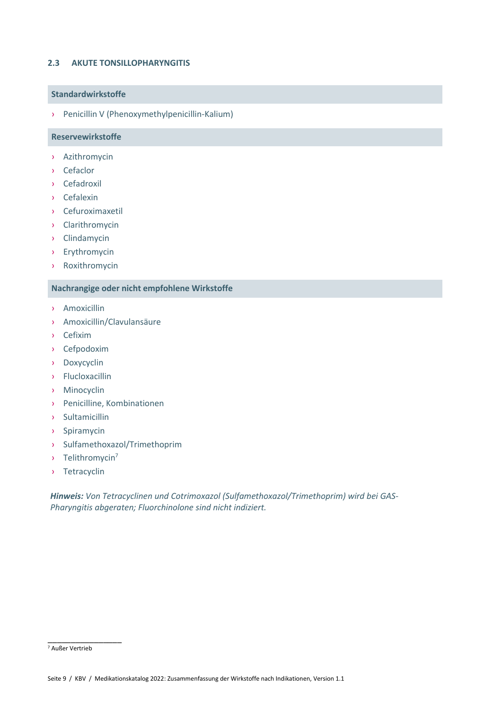#### <span id="page-8-0"></span>**2.3 AKUTE TONSILLOPHARYNGITIS**

#### **Standardwirkstoffe**

› Penicillin V (Phenoxymethylpenicillin-Kalium)

#### **Reservewirkstoffe**

- › Azithromycin
- › Cefaclor
- › Cefadroxil
- › Cefalexin
- › Cefuroximaxetil
- › Clarithromycin
- › Clindamycin
- › Erythromycin
- › Roxithromycin

#### **Nachrangige oder nicht empfohlene Wirkstoffe**

- › Amoxicillin
- › Amoxicillin/Clavulansäure
- › Cefixim
- › Cefpodoxim
- › Doxycyclin
- › Flucloxacillin
- › Minocyclin
- › Penicilline, Kombinationen
- › Sultamicillin
- › Spiramycin
- › Sulfamethoxazol/Trimethoprim
- › Telithromycin<sup>7</sup>
- › Tetracyclin

*Hinweis: Von Tetracyclinen und Cotrimoxazol (Sulfamethoxazol/Trimethoprim) wird bei GAS-Pharyngitis abgeraten; Fluorchinolone sind nicht indiziert.*

\_\_\_\_\_\_\_\_\_\_\_\_\_\_\_\_

<sup>7</sup> Außer Vertrieb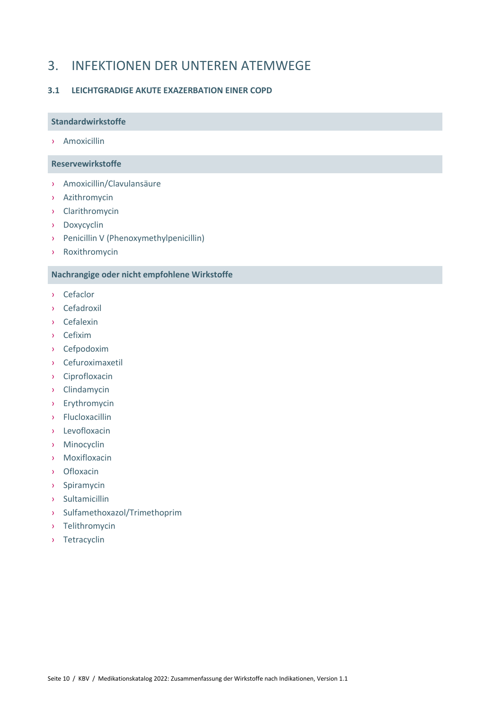# <span id="page-9-0"></span>3. INFEKTIONEN DER UNTEREN ATEMWEGE

### <span id="page-9-1"></span>**3.1 LEICHTGRADIGE AKUTE EXAZERBATION EINER COPD**

#### **Standardwirkstoffe**

› Amoxicillin

#### **Reservewirkstoffe**

- › Amoxicillin/Clavulansäure
- › Azithromycin
- › Clarithromycin
- › Doxycyclin
- › Penicillin V (Phenoxymethylpenicillin)
- › Roxithromycin

- › Cefaclor
- › Cefadroxil
- › Cefalexin
- › Cefixim
- › Cefpodoxim
- › Cefuroximaxetil
- › Ciprofloxacin
- › Clindamycin
- › Erythromycin
- › Flucloxacillin
- › Levofloxacin
- › Minocyclin
- › Moxifloxacin
- › Ofloxacin
- › Spiramycin
- › Sultamicillin
- › Sulfamethoxazol/Trimethoprim
- › Telithromycin
- › Tetracyclin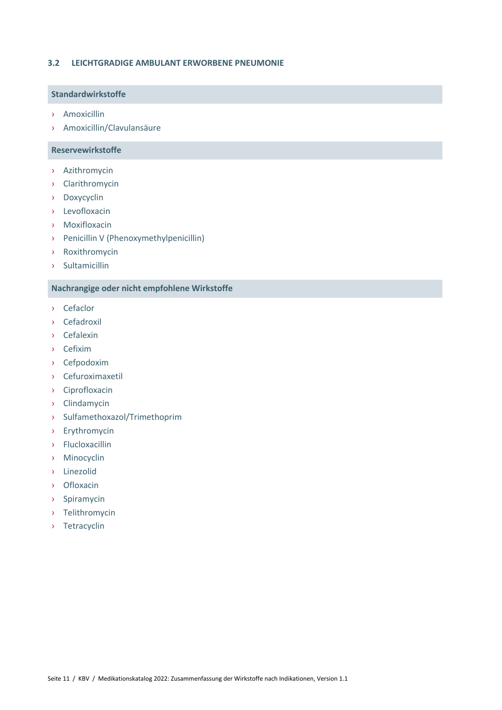#### <span id="page-10-0"></span>**3.2 LEICHTGRADIGE AMBULANT ERWORBENE PNEUMONIE**

### **Standardwirkstoffe**

- › Amoxicillin
- › Amoxicillin/Clavulansäure

#### **Reservewirkstoffe**

- › Azithromycin
- › Clarithromycin
- › Doxycyclin
- › Levofloxacin
- › Moxifloxacin
- › Penicillin V (Phenoxymethylpenicillin)
- › Roxithromycin
- › Sultamicillin

- › Cefaclor
- › Cefadroxil
- › Cefalexin
- › Cefixim
- › Cefpodoxim
- › Cefuroximaxetil
- › Ciprofloxacin
- › Clindamycin
- › Sulfamethoxazol/Trimethoprim
- › Erythromycin
- › Flucloxacillin
- › Minocyclin
- › Linezolid
- › Ofloxacin
- › Spiramycin
- › Telithromycin
- › Tetracyclin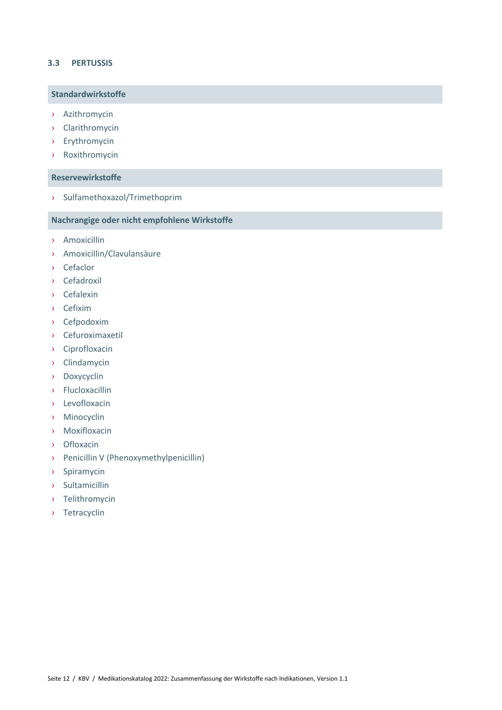#### <span id="page-11-0"></span>**3.3 PERTUSSIS**

### **Standardwirkstoffe**

- › Azithromycin
- › Clarithromycin
- › Erythromycin
- › Roxithromycin

#### **Reservewirkstoffe**

› Sulfamethoxazol/Trimethoprim

- › Amoxicillin
- › Amoxicillin/Clavulansäure
- › Cefaclor
- › Cefadroxil
- › Cefalexin
- › Cefixim
- › Cefpodoxim
- › Cefuroximaxetil
- › Ciprofloxacin
- › Clindamycin
- › Doxycyclin
- › Flucloxacillin
- › Levofloxacin
- › Minocyclin
- › Moxifloxacin
- › Ofloxacin
- › Penicillin V (Phenoxymethylpenicillin)
- › Spiramycin
- › Sultamicillin
- › Telithromycin
- › Tetracyclin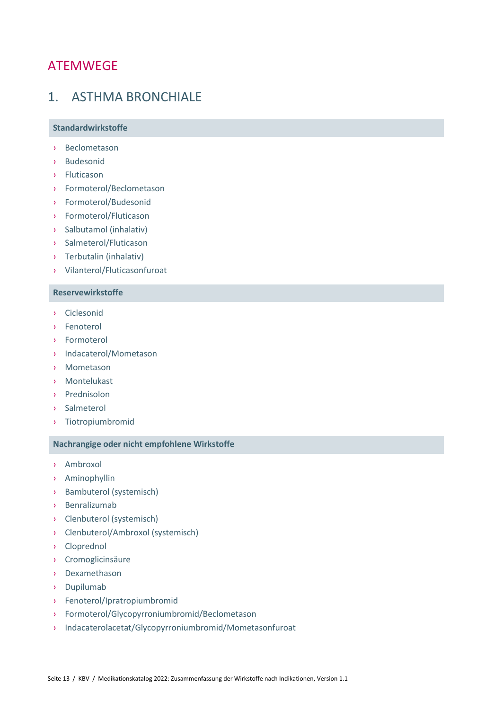# <span id="page-12-0"></span>ATEMWEGE

# <span id="page-12-1"></span>1. ASTHMA BRONCHIALE

#### **Standardwirkstoffe**

- › Beclometason
- › Budesonid
- › Fluticason
- › Formoterol/Beclometason
- › Formoterol/Budesonid
- › Formoterol/Fluticason
- › Salbutamol (inhalativ)
- › Salmeterol/Fluticason
- › Terbutalin (inhalativ)
- › Vilanterol/Fluticasonfuroat

### **Reservewirkstoffe**

- › Ciclesonid
- › Fenoterol
- › Formoterol
- › Indacaterol/Mometason
- › Mometason
- › Montelukast
- › Prednisolon
- › Salmeterol
- › Tiotropiumbromid

- › Ambroxol
- › Aminophyllin
- › Bambuterol (systemisch)
- › Benralizumab
- › Clenbuterol (systemisch)
- › Clenbuterol/Ambroxol (systemisch)
- › Cloprednol
- › Cromoglicinsäure
- › Dexamethason
- › Dupilumab
- › Fenoterol/Ipratropiumbromid
- › Formoterol/Glycopyrroniumbromid/Beclometason
- › Indacaterolacetat/Glycopyrroniumbromid/Mometasonfuroat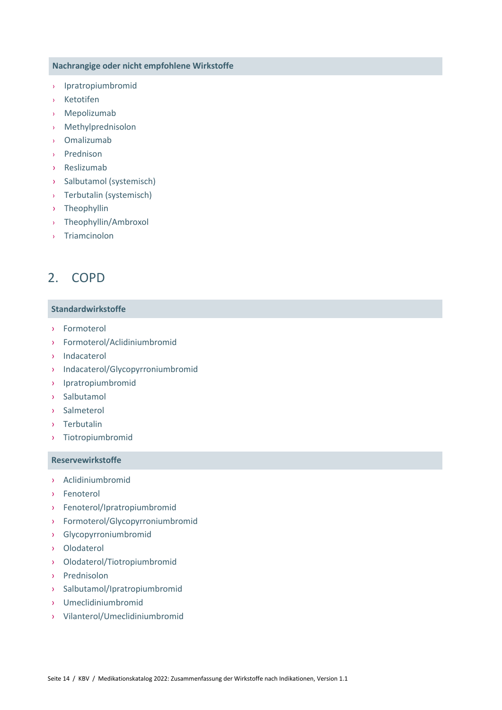- › Ipratropiumbromid
- **Ketotifen**
- › Mepolizumab
- › Methylprednisolon
- › Omalizumab
- › Prednison
- › Reslizumab
- › Salbutamol (systemisch)
- › Terbutalin (systemisch)
- › Theophyllin
- › Theophyllin/Ambroxol
- › Triamcinolon

# <span id="page-13-0"></span>2. COPD

#### **Standardwirkstoffe**

- › Formoterol
- › Formoterol/Aclidiniumbromid
- › Indacaterol
- › Indacaterol/Glycopyrroniumbromid
- › Ipratropiumbromid
- › Salbutamol
- › Salmeterol
- › Terbutalin
- › Tiotropiumbromid

#### **Reservewirkstoffe**

- › Aclidiniumbromid
- › Fenoterol
- › Fenoterol/Ipratropiumbromid
- › Formoterol/Glycopyrroniumbromid
- › Glycopyrroniumbromid
- › Olodaterol
- › Olodaterol/Tiotropiumbromid
- › Prednisolon
- › Salbutamol/Ipratropiumbromid
- › Umeclidiniumbromid
- › Vilanterol/Umeclidiniumbromid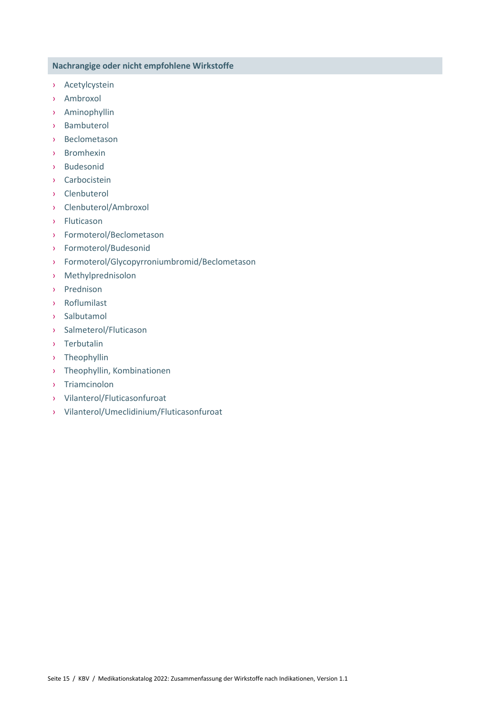- › Acetylcystein
- › Ambroxol
- › Aminophyllin
- › Bambuterol
- › Beclometason
- › Bromhexin
- › Budesonid
- › Carbocistein
- › Clenbuterol
- › Clenbuterol/Ambroxol
- › Fluticason
- › Formoterol/Beclometason
- › Formoterol/Budesonid
- › Formoterol/Glycopyrroniumbromid/Beclometason
- › Methylprednisolon
- › Prednison
- › Roflumilast
- › Salbutamol
- › Salmeterol/Fluticason
- › Terbutalin
- › Theophyllin
- › Theophyllin, Kombinationen
- › Triamcinolon
- › Vilanterol/Fluticasonfuroat
- › Vilanterol/Umeclidinium/Fluticasonfuroat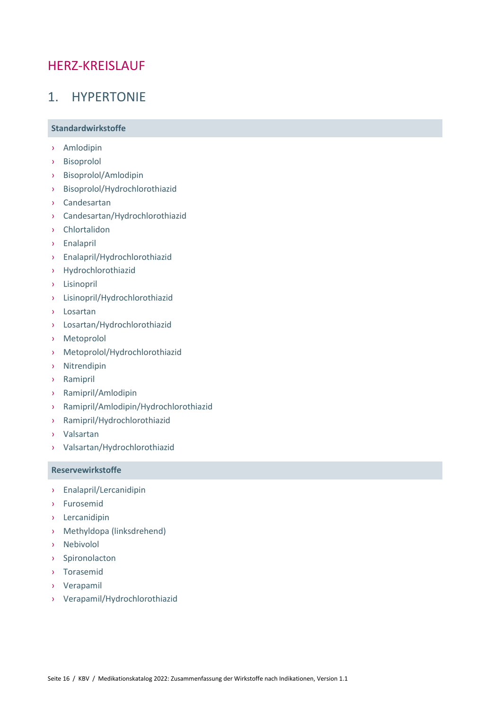# <span id="page-15-0"></span>HERZ-KREISLAUF

# <span id="page-15-1"></span>1. HYPERTONIE

### **Standardwirkstoffe**

- › Amlodipin
- › Bisoprolol
- › Bisoprolol/Amlodipin
- › Bisoprolol/Hydrochlorothiazid
- › Candesartan
- › Candesartan/Hydrochlorothiazid
- › Chlortalidon
- › Enalapril
- › Enalapril/Hydrochlorothiazid
- › Hydrochlorothiazid
- › Lisinopril
- › Lisinopril/Hydrochlorothiazid
- › Losartan
- › Losartan/Hydrochlorothiazid
- › Metoprolol
- › Metoprolol/Hydrochlorothiazid
- › Nitrendipin
- › Ramipril
- › Ramipril/Amlodipin
- › Ramipril/Amlodipin/Hydrochlorothiazid
- › Ramipril/Hydrochlorothiazid
- › Valsartan
- › Valsartan/Hydrochlorothiazid

#### **Reservewirkstoffe**

- › Enalapril/Lercanidipin
- › Furosemid
- › Lercanidipin
- › Methyldopa (linksdrehend)
- › Nebivolol
- › Spironolacton
- › Torasemid
- › Verapamil
- › Verapamil/Hydrochlorothiazid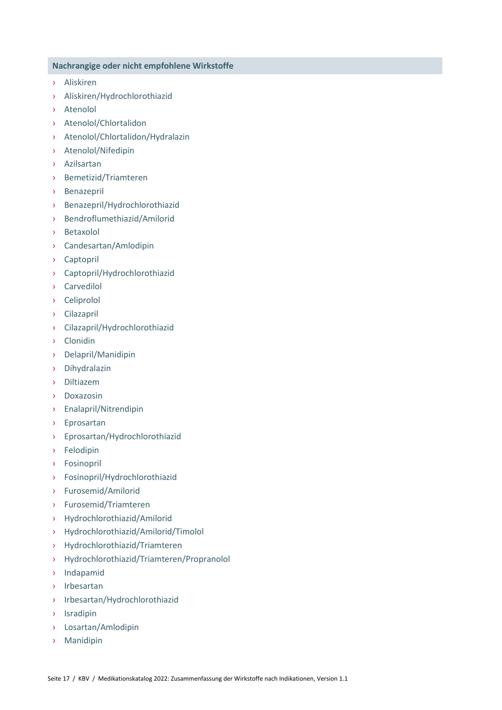- › Aliskiren
- › Aliskiren/Hydrochlorothiazid
- › Atenolol
- › Atenolol/Chlortalidon
- › Atenolol/Chlortalidon/Hydralazin
- › Atenolol/Nifedipin
- › Azilsartan
- › Bemetizid/Triamteren
- › Benazepril
- › Benazepril/Hydrochlorothiazid
- › Bendroflumethiazid/Amilorid
- › Betaxolol
- › Candesartan/Amlodipin
- › Captopril
- › Captopril/Hydrochlorothiazid
- › Carvedilol
- › Celiprolol
- › Cilazapril
- › Cilazapril/Hydrochlorothiazid
- › Clonidin
- › Delapril/Manidipin
- › Dihydralazin
- › Diltiazem
- › Doxazosin
- › Enalapril/Nitrendipin
- › Eprosartan
- › Eprosartan/Hydrochlorothiazid
- › Felodipin
- › Fosinopril
- › Fosinopril/Hydrochlorothiazid
- › Furosemid/Amilorid
- › Furosemid/Triamteren
- › Hydrochlorothiazid/Amilorid
- › Hydrochlorothiazid/Amilorid/Timolol
- › Hydrochlorothiazid/Triamteren
- › Hydrochlorothiazid/Triamteren/Propranolol
- › Indapamid
- › Irbesartan
- › Irbesartan/Hydrochlorothiazid
- › Isradipin
- › Losartan/Amlodipin
- › Manidipin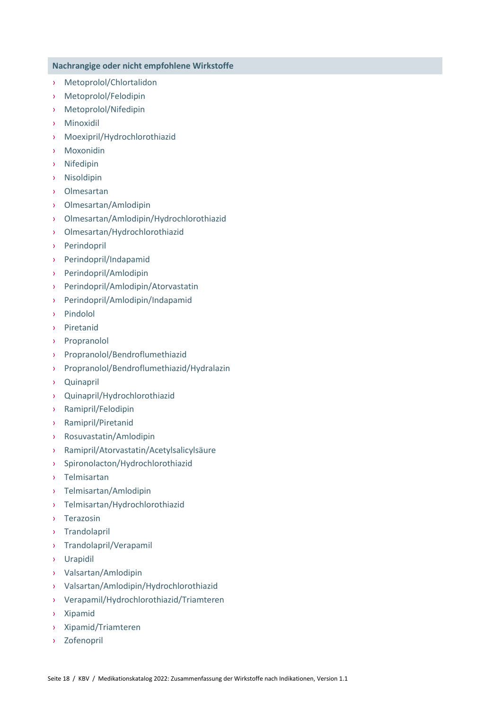- › Metoprolol/Chlortalidon
- › Metoprolol/Felodipin
- › Metoprolol/Nifedipin
- › Minoxidil
- › Moexipril/Hydrochlorothiazid
- › Moxonidin
- › Nifedipin
- › Nisoldipin
- › Olmesartan
- › Olmesartan/Amlodipin
- › Olmesartan/Amlodipin/Hydrochlorothiazid
- › Olmesartan/Hydrochlorothiazid
- › Perindopril
- › Perindopril/Indapamid
- › Perindopril/Amlodipin
- › Perindopril/Amlodipin/Atorvastatin
- › Perindopril/Amlodipin/Indapamid
- › Pindolol
- › Piretanid
- › Propranolol
- › Propranolol/Bendroflumethiazid
- › Propranolol/Bendroflumethiazid/Hydralazin
- › Quinapril
- › Quinapril/Hydrochlorothiazid
- › Ramipril/Felodipin
- › Ramipril/Piretanid
- › Rosuvastatin/Amlodipin
- › Ramipril/Atorvastatin/Acetylsalicylsäure
- › Spironolacton/Hydrochlorothiazid
- › Telmisartan
- › Telmisartan/Amlodipin
- › Telmisartan/Hydrochlorothiazid
- › Terazosin
- › Trandolapril
- › Trandolapril/Verapamil
- › Urapidil
- › Valsartan/Amlodipin
- › Valsartan/Amlodipin/Hydrochlorothiazid
- › Verapamil/Hydrochlorothiazid/Triamteren
- › Xipamid
- › Xipamid/Triamteren
- › Zofenopril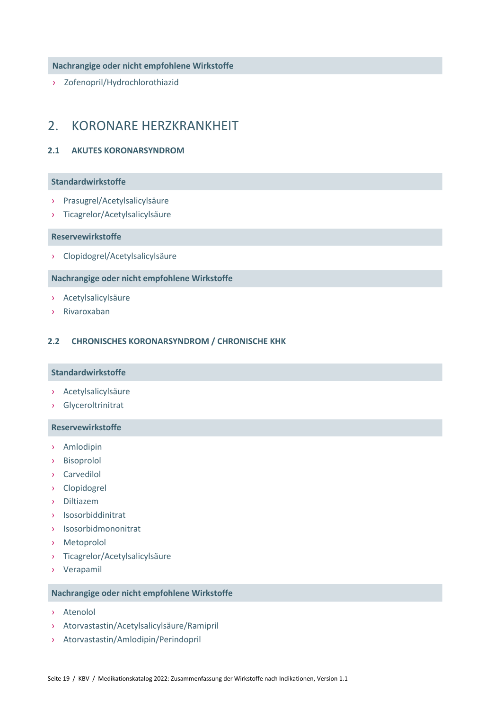› Zofenopril/Hydrochlorothiazid

# <span id="page-18-0"></span>2. KORONARE HERZKRANKHEIT

#### <span id="page-18-1"></span>**2.1 AKUTES KORONARSYNDROM**

#### **Standardwirkstoffe**

- › Prasugrel/Acetylsalicylsäure
- › Ticagrelor/Acetylsalicylsäure

#### **Reservewirkstoffe**

› Clopidogrel/Acetylsalicylsäure

#### **Nachrangige oder nicht empfohlene Wirkstoffe**

- › Acetylsalicylsäure
- › Rivaroxaban

#### <span id="page-18-2"></span>**2.2 CHRONISCHES KORONARSYNDROM / CHRONISCHE KHK**

#### **Standardwirkstoffe**

- › Acetylsalicylsäure
- › Glyceroltrinitrat

#### **Reservewirkstoffe**

- › Amlodipin
- › Bisoprolol
- › Carvedilol
- › Clopidogrel
- › Diltiazem
- › Isosorbiddinitrat
- › Isosorbidmononitrat
- › Metoprolol
- › Ticagrelor/Acetylsalicylsäure
- › Verapamil

- › Atenolol
- › Atorvastastin/Acetylsalicylsäure/Ramipril
- › Atorvastastin/Amlodipin/Perindopril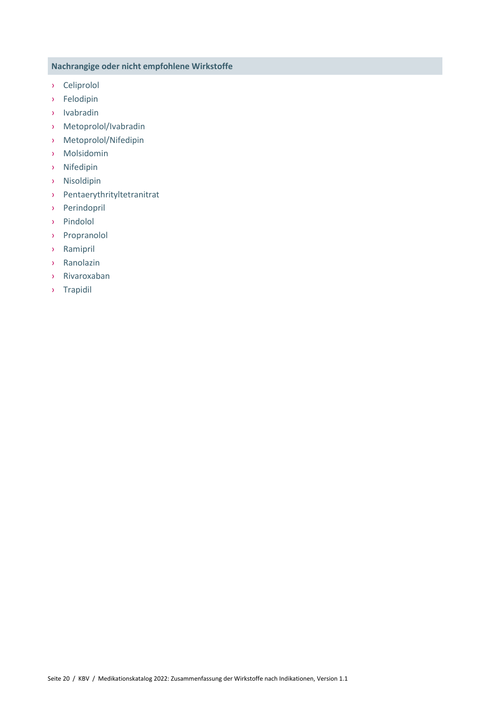- › Celiprolol
- › Felodipin
- › Ivabradin
- › Metoprolol/Ivabradin
- › Metoprolol/Nifedipin
- › Molsidomin
- › Nifedipin
- › Nisoldipin
- › Pentaerythrityltetranitrat
- › Perindopril
- › Pindolol
- › Propranolol
- › Ramipril
- › Ranolazin
- › Rivaroxaban
- › Trapidil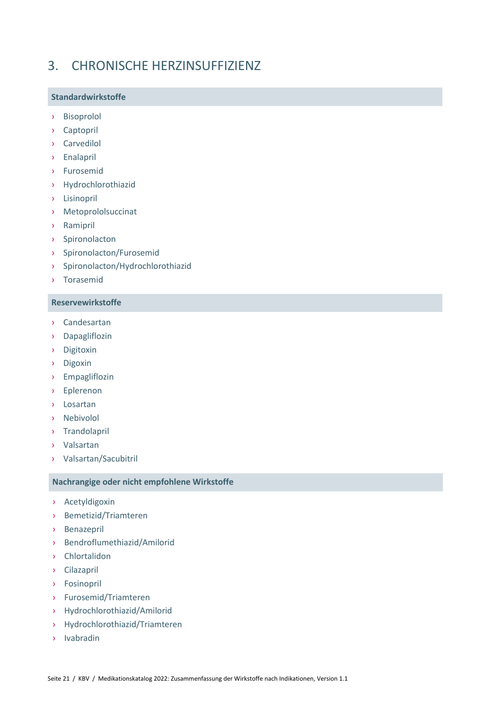# <span id="page-20-0"></span>3. CHRONISCHE HERZINSUFFIZIENZ

### **Standardwirkstoffe**

- › Bisoprolol
- › Captopril
- › Carvedilol
- › Enalapril
- › Furosemid
- › Hydrochlorothiazid
- › Lisinopril
- › Metoprololsuccinat
- › Ramipril
- › Spironolacton
- › Spironolacton/Furosemid
- › Spironolacton/Hydrochlorothiazid
- › Torasemid

# **Reservewirkstoffe**

- › Candesartan
- › Dapagliflozin
- › Digitoxin
- › Digoxin
- › Empagliflozin
- › Eplerenon
- › Losartan
- › Nebivolol
- › Trandolapril
- › Valsartan
- › Valsartan/Sacubitril

- › Acetyldigoxin
- › Bemetizid/Triamteren
- › Benazepril
- › Bendroflumethiazid/Amilorid
- › Chlortalidon
- › Cilazapril
- › Fosinopril
- › Furosemid/Triamteren
- › Hydrochlorothiazid/Amilorid
- › Hydrochlorothiazid/Triamteren
- › Ivabradin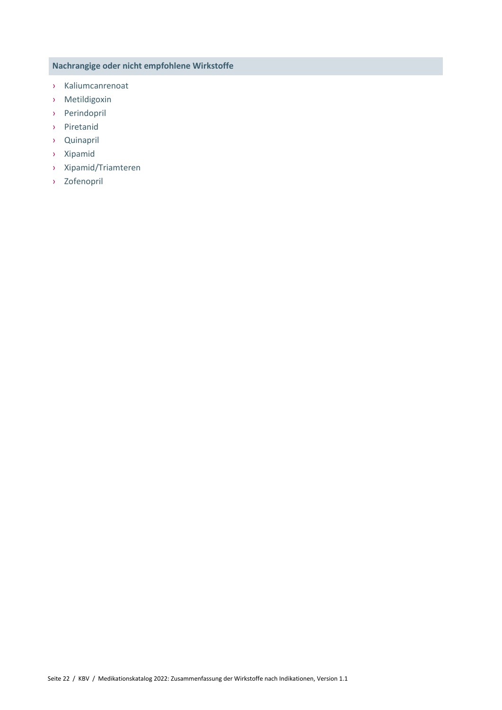- › Kaliumcanrenoat
- › Metildigoxin
- › Perindopril
- › Piretanid
- › Quinapril
- › Xipamid
- › Xipamid/Triamteren
- › Zofenopril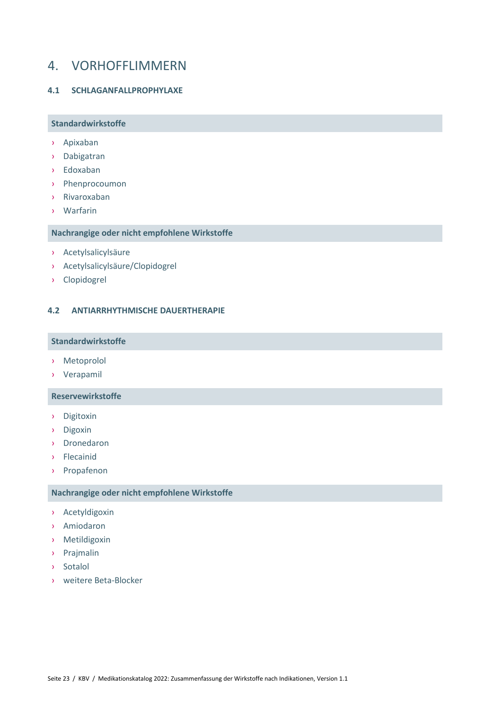# <span id="page-22-0"></span>4. VORHOFFLIMMERN

#### <span id="page-22-1"></span>**4.1 SCHLAGANFALLPROPHYLAXE**

#### **Standardwirkstoffe**

- › Apixaban
- › Dabigatran
- › Edoxaban
- › Phenprocoumon
- › Rivaroxaban
- › Warfarin

#### **Nachrangige oder nicht empfohlene Wirkstoffe**

- › Acetylsalicylsäure
- › Acetylsalicylsäure/Clopidogrel
- › Clopidogrel

#### <span id="page-22-2"></span>**4.2 ANTIARRHYTHMISCHE DAUERTHERAPIE**

#### **Standardwirkstoffe**

- › Metoprolol
- › Verapamil

#### **Reservewirkstoffe**

- › Digitoxin
- › Digoxin
- › Dronedaron
- › Flecainid
- › Propafenon

- › Acetyldigoxin
- › Amiodaron
- › Metildigoxin
- › Prajmalin
- › Sotalol
- <span id="page-22-3"></span>› weitere Beta-Blocker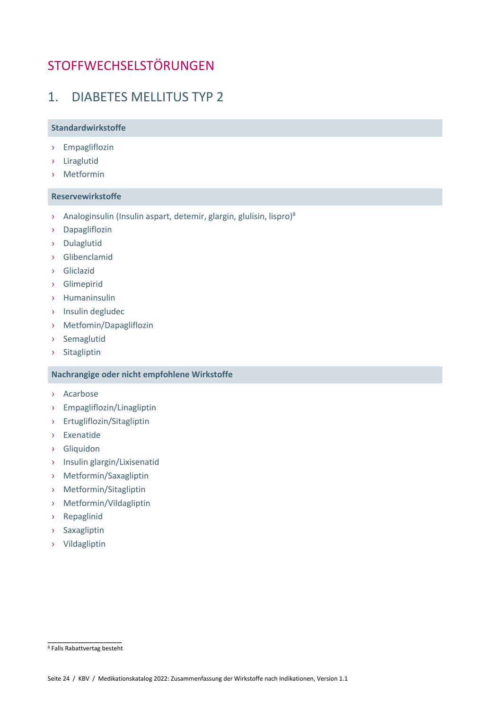# **STOFFWECHSELSTÖRUNGEN**

# <span id="page-23-0"></span>1. DIABETES MELLITUS TYP 2

### **Standardwirkstoffe**

- › Empagliflozin
- › Liraglutid
- › Metformin

#### **Reservewirkstoffe**

- > Analoginsulin (Insulin aspart, detemir, glargin, glulisin, lispro)<sup>8</sup>
- › Dapagliflozin
- › Dulaglutid
- › Glibenclamid
- › Gliclazid
- › Glimepirid
- › Humaninsulin
- › Insulin degludec
- › Metfomin/Dapagliflozin
- › Semaglutid
- › Sitagliptin

- › Acarbose
- › Empagliflozin/Linagliptin
- › Ertugliflozin/Sitagliptin
- › Exenatide
- › Gliquidon
- › Insulin glargin/Lixisenatid
- › Metformin/Saxagliptin
- › Metformin/Sitagliptin
- › Metformin/Vildagliptin
- › Repaglinid
- › Saxagliptin
- › Vildagliptin

\_\_\_\_\_\_\_\_\_\_\_\_\_\_\_\_ <sup>8</sup> Falls Rabattvertag besteht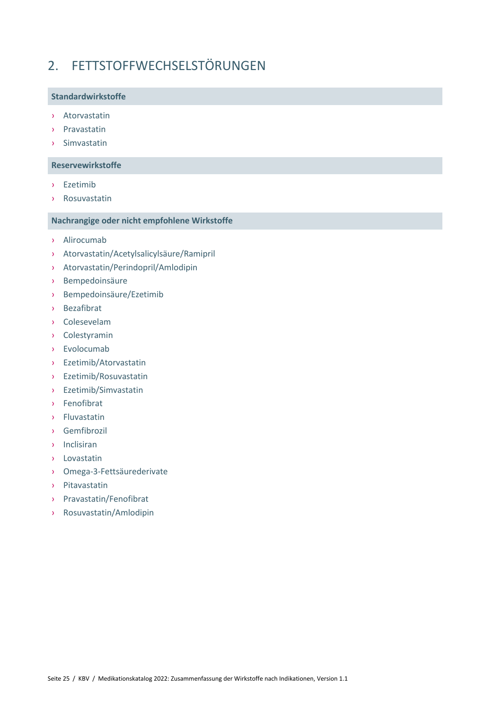# <span id="page-24-0"></span>2. FETTSTOFFWECHSELSTÖRUNGEN

### **Standardwirkstoffe**

- › Atorvastatin
- › Pravastatin
- › Simvastatin

### **Reservewirkstoffe**

- › Ezetimib
- › Rosuvastatin

- › Alirocumab
- › Atorvastatin/Acetylsalicylsäure/Ramipril
- › Atorvastatin/Perindopril/Amlodipin
- › Bempedoinsäure
- › Bempedoinsäure/Ezetimib
- › Bezafibrat
- › Colesevelam
- › Colestyramin
- › Evolocumab
- › Ezetimib/Atorvastatin
- › Ezetimib/Rosuvastatin
- › Ezetimib/Simvastatin
- › Fenofibrat
- › Fluvastatin
- › Gemfibrozil
- › Inclisiran
- › Lovastatin
- › Omega-3-Fettsäurederivate
- › Pitavastatin
- › Pravastatin/Fenofibrat
- › Rosuvastatin/Amlodipin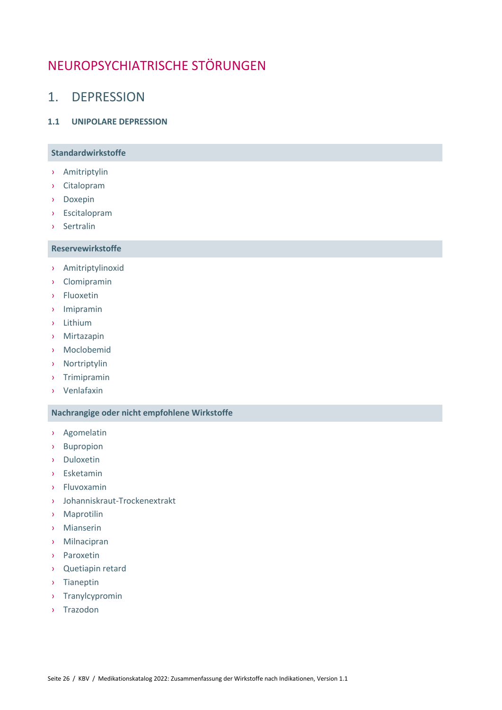# <span id="page-25-0"></span>NEUROPSYCHIATRISCHE STÖRUNGEN

# <span id="page-25-1"></span>1. DEPRESSION

#### <span id="page-25-2"></span>**1.1 UNIPOLARE DEPRESSION**

# **Standardwirkstoffe**

- › Amitriptylin
- › Citalopram
- › Doxepin
- › Escitalopram
- › Sertralin

# **Reservewirkstoffe**

- › Amitriptylinoxid
- › Clomipramin
- › Fluoxetin
- › Imipramin
- › Lithium
- › Mirtazapin
- › Moclobemid
- › Nortriptylin
- › Trimipramin
- › Venlafaxin

- › Agomelatin
- › Bupropion
- › Duloxetin
- › Esketamin
- › Fluvoxamin
- › Johanniskraut-Trockenextrakt
- › Maprotilin
- › Mianserin
- › Milnacipran
- › Paroxetin
- › Quetiapin retard
- › Tianeptin
- › Tranylcypromin
- › Trazodon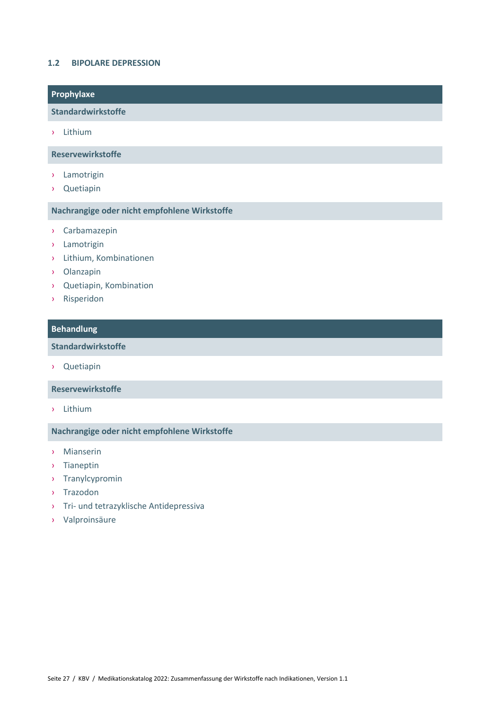#### <span id="page-26-0"></span>**1.2 BIPOLARE DEPRESSION**

|  | Prophylaxe               |
|--|--------------------------|
|  | Standardwirkstoffe       |
|  | Lithium                  |
|  | <b>Reservewirkstoffe</b> |

- › Lamotrigin
- › Quetiapin

### **Nachrangige oder nicht empfohlene Wirkstoffe**

- › Carbamazepin
- › Lamotrigin
- › Lithium, Kombinationen
- › Olanzapin
- › Quetiapin, Kombination
- › Risperidon

### **Behandlung**

# **Standardwirkstoffe**

› Quetiapin

#### **Reservewirkstoffe**

› Lithium

- › Mianserin
- › Tianeptin
- › Tranylcypromin
- › Trazodon
- › Tri- und tetrazyklische Antidepressiva
- › Valproinsäure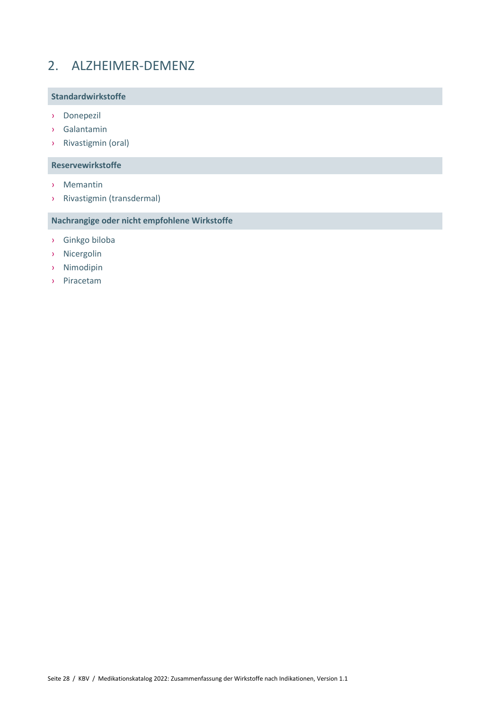# <span id="page-27-0"></span>2. ALZHEIMER-DEMENZ

### **Standardwirkstoffe**

- › Donepezil
- › Galantamin
- › Rivastigmin (oral)

### **Reservewirkstoffe**

- › Memantin
- › Rivastigmin (transdermal)

- › Ginkgo biloba
- › Nicergolin
- › Nimodipin
- › Piracetam